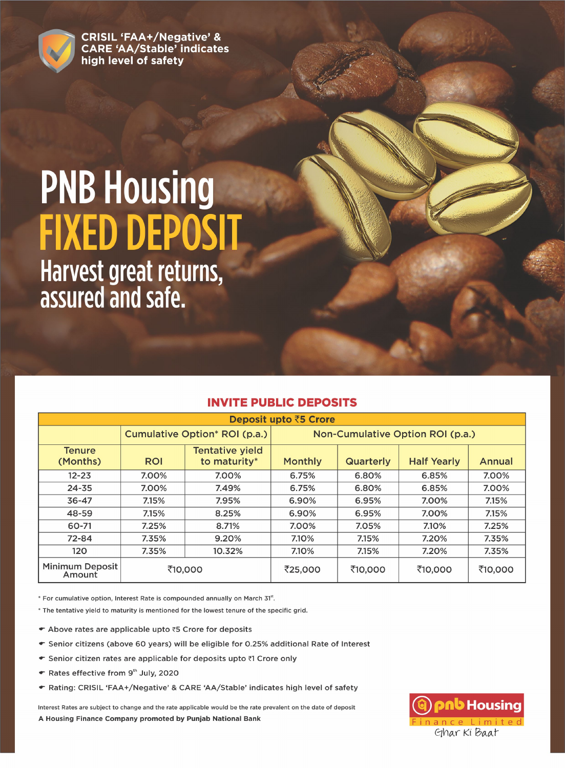

**CRISIL 'FAA+/Negative' & CARE 'AA/Stable' indicates** high level of safety

# **PNB Housing FIXED DEPOSIT** Harvest great returns, assured and safe.

| <b>Deposit upto ₹5 Crore</b>     |            |                                        |                                  |                  |                    |         |  |  |  |  |  |  |  |  |
|----------------------------------|------------|----------------------------------------|----------------------------------|------------------|--------------------|---------|--|--|--|--|--|--|--|--|
|                                  |            | Cumulative Option* ROI (p.a.)          | Non-Cumulative Option ROI (p.a.) |                  |                    |         |  |  |  |  |  |  |  |  |
| <b>Tenure</b><br>(Months)        | <b>ROI</b> | <b>Tentative yield</b><br>to maturity* | <b>Monthly</b>                   | <b>Quarterly</b> | <b>Half Yearly</b> | Annual  |  |  |  |  |  |  |  |  |
| $12 - 23$                        | 7.00%      | 7.00%                                  | 6.75%                            | 6.80%            | 6.85%              | 7.00%   |  |  |  |  |  |  |  |  |
| $24 - 35$                        | 7.00%      | 7.49%                                  | 6.75%                            | 6.80%            | 6.85%              | 7.00%   |  |  |  |  |  |  |  |  |
| $36 - 47$                        | 7.15%      | 7.95%                                  | 6.90%                            | 6.95%            | 7.00%              | 7.15%   |  |  |  |  |  |  |  |  |
| 48-59                            | 7.15%      | 8.25%                                  | 6.90%                            | 6.95%            | 7.00%              | 7.15%   |  |  |  |  |  |  |  |  |
| 60-71                            | 7.25%      | 8.71%                                  | 7.00%                            | 7.05%            | 7.10%              | 7.25%   |  |  |  |  |  |  |  |  |
| $72 - 84$                        | 7.35%      | 9.20%                                  | 7.10%                            | 7.15%            | 7.20%              | 7.35%   |  |  |  |  |  |  |  |  |
| 120                              | 7.35%      | 10.32%                                 | 7.10%                            | 7.15%<br>7.20%   |                    |         |  |  |  |  |  |  |  |  |
| <b>Minimum Deposit</b><br>Amount | ₹10,000    |                                        | ₹25,000                          | ₹10,000          | ₹10,000            | ₹10,000 |  |  |  |  |  |  |  |  |

# **INVITE PUBLIC DEPOSITS**

\* For cumulative option, Interest Rate is compounded annually on March 31st.

\* The tentative yield to maturity is mentioned for the lowest tenure of the specific grid.

- ← Above rates are applicable upto ₹5 Crore for deposits
- · Senior citizens (above 60 years) will be eligible for 0.25% additional Rate of Interest
- ← Senior citizen rates are applicable for deposits upto ₹1 Crore only
- ← Rates effective from 9th July, 2020
- · Rating: CRISIL 'FAA+/Negative' & CARE 'AA/Stable' indicates high level of safety

Interest Rates are subject to change and the rate applicable would be the rate prevalent on the date of deposit A Housing Finance Company promoted by Punjab National Bank

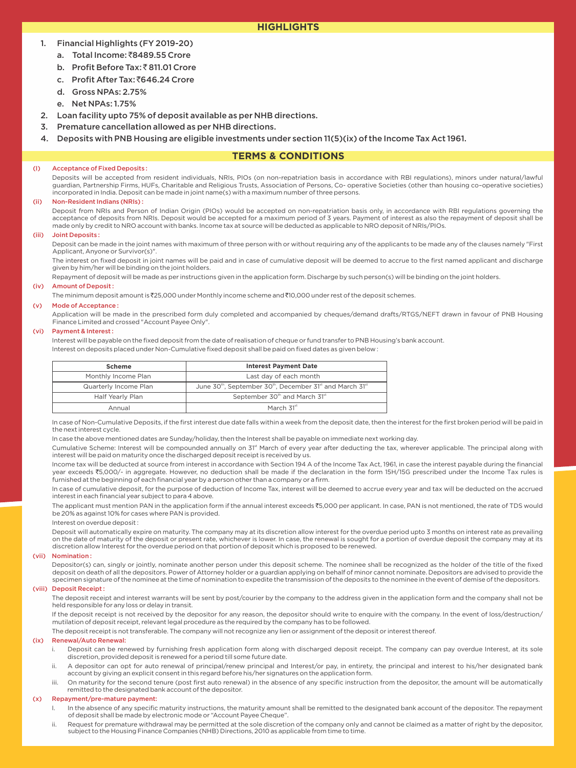# **HIGHLIGHTS**

### 1. Financial Highlights (FY 2019-20)

- a. Total Income: ₹8489.55 Crore
- b. Profit Before Tax: ₹811.01 Crore
- c. Profit After Tax: ₹646.24 Crore
- d. Gross NPAs: 2.75%
- e. Net NPAs: 1.75%
- 2. Loan facility upto 75% of deposit available as per NHB directions.
- 3. Premature cancellation allowed as per NHB directions.
- 4. Deposits with PNB Housing are eligible investments under section 11(5)(ix) of the Income Tax Act 1961.

# **TERMS & CONDITIONS**

#### (I) Acceptance of Fixed Deposits :

Deposits will be accepted from resident individuals, NRIs, PIOs (on non-repatriation basis in accordance with RBI regulations), minors under natural/lawful guardian, Partnership Firms, HUFs, Charitable and Religious Trusts, Association of Persons, Co- operative Societies (other than housing co–operative societies) incorporated in India. Deposit can be made in joint name(s) with a maximum number of three persons.

#### (ii) Non-Resident Indians (NRIs) :

Deposit from NRIs and Person of Indian Origin (PIOs) would be accepted on non-repatriation basis only, in accordance with RBI regulations governing the acceptance of deposits from NRIs. Deposit would be accepted for a maximum period of 3 years. Payment of interest as also the repayment of deposit shall be made only by credit to NRO account with banks. Income tax at source will be deducted as applicable to NRO deposit of NRIs/PIOs.

#### (iii) Joint Deposits :

Deposit can be made in the joint names with maximum of three person with or without requiring any of the applicants to be made any of the clauses namely "First Applicant, Anyone or Survivor(s)".

The interest on fixed deposit in joint names will be paid and in case of cumulative deposit will be deemed to accrue to the first named applicant and discharge given by him/her will be binding on the joint holders.

Repayment of deposit will be made as per instructions given in the application form. Discharge by such person(s) will be binding on the joint holders.

#### (iv) Amount of Deposit :

The minimum deposit amount is ₹25,000 under Monthly income scheme and ₹10,000 under rest of the deposit schemes.

#### (v) Mode of Acceptance :

Application will be made in the prescribed form duly completed and accompanied by cheques/demand drafts/RTGS/NEFT drawn in favour of PNB Housing Finance Limited and crossed "Account Payee Only".

#### (vi) Payment & Interest :

Interest will be payable on the fixed deposit from the date of realisation of cheque or fund transfer to PNB Housing's bank account. Interest on deposits placed under Non-Cumulative fixed deposit shall be paid on fixed dates as given below :

| <b>Scheme</b>       | <b>Interest Payment Date</b>                                  |
|---------------------|---------------------------------------------------------------|
| Monthly Income Plan | Last day of each month                                        |
|                     | <b>Contract Contract Contract</b><br>the contract of the con- |

| Monthly Income Plan   | Last day of each month                                                                                    |
|-----------------------|-----------------------------------------------------------------------------------------------------------|
| Quarterly Income Plan | June 30 <sup>th</sup> , September 30 <sup>th</sup> , December 31 <sup>st</sup> and March 31 <sup>st</sup> |
| Half Yearly Plan      | September 30 <sup>th</sup> and March 31 <sup>st</sup>                                                     |
| Annual                | March 31 <sup>st</sup>                                                                                    |

In case of Non-Cumulative Deposits, if the first interest due date falls within a week from the deposit date, then the interest for the first broken period will be paid in the next interest cycle.

In case the above mentioned dates are Sunday/holiday, then the Interest shall be payable on immediate next working day.

Cumulative Scheme: Interest will be compounded annually on 31<sup>ª</sup> March of every year after deducting the tax, wherever applicable. The principal along with interest will be paid on maturity once the discharged deposit receipt is received by us.

Income tax will be deducted at source from interest in accordance with Section 194 A of the Income Tax Act, 1961, in case the interest payable during the financial year exceeds ₹5,000/- in aggregate. However, no deduction shall be made if the declaration in the form 15H/15G prescribed under the Income Tax rules is furnished at the beginning of each financial year by a person other than a company or a firm.

In case of cumulative deposit, for the purpose of deduction of Income Tax, interest will be deemed to accrue every year and tax will be deducted on the accrued interest in each financial year subject to para 4 above.

The applicant must mention PAN in the application form if the annual interest exceeds ₹5,000 per applicant. In case, PAN is not mentioned, the rate of TDS would be 20% as against 10% for cases where PAN is provided.

Interest on overdue deposit :

Deposit will automatically expire on maturity. The company may at its discretion allow interest for the overdue period upto 3 months on interest rate as prevailing on the date of maturity of the deposit or present rate, whichever is lower. In case, the renewal is sought for a portion of overdue deposit the company may at its discretion allow Interest for the overdue period on that portion of deposit which is proposed to be renewed.

#### (vii) Nomination :

Depositor(s) can, singly or jointly, nominate another person under this deposit scheme. The nominee shall be recognized as the holder of the title of the fixed deposit on death of all the depositors. Power of Attorney holder or a guardian applying on behalf of minor cannot nominate. Depositors are advised to provide the specimen signature of the nominee at the time of nomination to expedite the transmission of the deposits to the nominee in the event of demise of the depositors.

#### (viii) Deposit Receipt :

The deposit receipt and interest warrants will be sent by post/courier by the company to the address given in the application form and the company shall not be held responsible for any loss or delay in transit.

If the deposit receipt is not received by the depositor for any reason, the depositor should write to enquire with the company. In the event of loss/destruction/ mutilation of deposit receipt, relevant legal procedure as the required by the company has to be followed.

The deposit receipt is not transferable. The company will not recognize any lien or assignment of the deposit or interest thereof.

#### (ix) Renewal/Auto Renewal:

- Deposit can be renewed by furnishing fresh application form along with discharged deposit receipt. The company can pay overdue Interest, at its sole discretion, provided deposit is renewed for a period till some future date.
- ii. A depositor can opt for auto renewal of principal/renew principal and Interest/or pay, in entirety, the principal and interest to his/her designated bank account by giving an explicit consent in this regard before his/her signatures on the application form.
- iii. On maturity for the second tenure (post first auto renewal) in the absence of any specific instruction from the depositor, the amount will be automatically remitted to the designated bank account of the depositor.

#### (x) Repayment/pre-mature payment:

- l. In the absence of any specific maturity instructions, the maturity amount shall be remitted to the designated bank account of the depositor. The repayment<br>of deposit shall be made by electronic mode or "Account Payee Ch
- Request for premature withdrawal may be permitted at the sole discretion of the company only and cannot be claimed as a matter of right by the depositor, subject to the Housing Finance Companies (NHB) Directions, 2010 as applicable from time to time.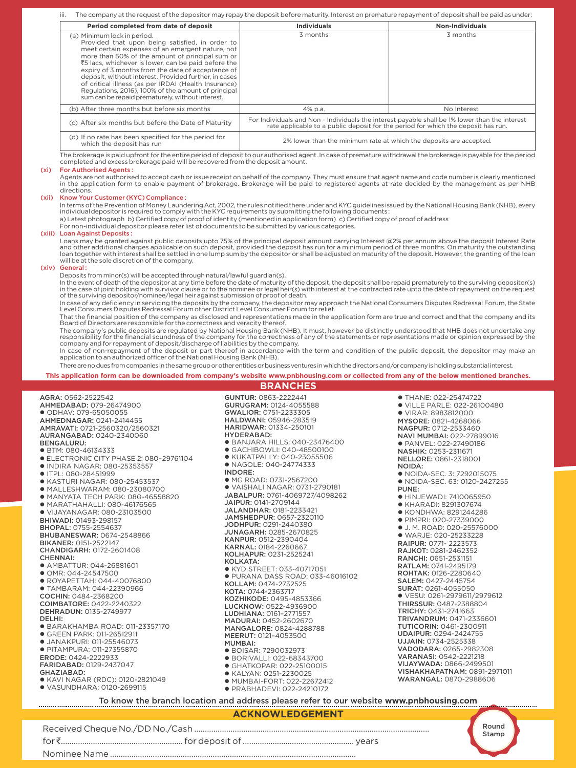iii. The company at the request of the depositor may repay the deposit before maturity. Interest on premature repayment of deposit shall be paid as under:

| Period completed from date of deposit                                                                                                                                                                                                                                                                                                                                                                                                                                                                                         | <b>Individuals</b>                                                 | Non-Individuals                                                                                                                                                                     |  |  |  |  |
|-------------------------------------------------------------------------------------------------------------------------------------------------------------------------------------------------------------------------------------------------------------------------------------------------------------------------------------------------------------------------------------------------------------------------------------------------------------------------------------------------------------------------------|--------------------------------------------------------------------|-------------------------------------------------------------------------------------------------------------------------------------------------------------------------------------|--|--|--|--|
| (a) Minimum lock in period.<br>Provided that upon being satisfied, in order to<br>meet certain expenses of an emergent nature, not<br>more than 50% of the amount of principal sum or<br>₹5 lacs, whichever is lower, can be paid before the<br>expiry of 3 months from the date of acceptance of<br>deposit, without interest. Provided further, in cases<br>of critical illness (as per IRDAI (Health Insurance)<br>Regulations, 2016), 100% of the amount of principal<br>sum can be repaid prematurely, without interest. | 3 months                                                           | 3 months                                                                                                                                                                            |  |  |  |  |
| (b) After three months but before six months                                                                                                                                                                                                                                                                                                                                                                                                                                                                                  | 4% p.a.                                                            | No Interest                                                                                                                                                                         |  |  |  |  |
| (c) After six months but before the Date of Maturity                                                                                                                                                                                                                                                                                                                                                                                                                                                                          |                                                                    | For Individuals and Non - Individuals the interest payable shall be 1% lower than the interest<br>rate applicable to a public deposit for the period for which the deposit has run. |  |  |  |  |
| (d) If no rate has been specified for the period for<br>which the deposit has run                                                                                                                                                                                                                                                                                                                                                                                                                                             | 2% lower than the minimum rate at which the deposits are accepted. |                                                                                                                                                                                     |  |  |  |  |

The brokerage is paid upfront for the entire period of deposit to our authorised agent. In case of premature withdrawal the brokerage is payable for the period completed and excess brokerage paid will be recovered from the deposit amount.

#### (xi) For Authorised Agents :

Agents are not authorised to accept cash or issue receipt on behalf of the company. They must ensure that agent name and code number is clearly mentioned in the application form to enable payment of brokerage. Brokerage will be paid to registered agents at rate decided by the management as per NHB directions.

#### (xii) Know Your Customer (KYC) Compliance :

In terms of the Prevention of Money Laundering Act, 2002, the rules notified there under and KYC guidelines issued by the National Housing Bank (NHB), every individual depositor is required to comply with the KYC requirements by submitting the following documents :

a) Latest photograph b) Certified copy of proof of identity (mentioned in application form) c) Certified copy of proof of address

For non-individual depositor please refer list of documents to be submitted by various categories.

#### (xiii) Loan Against Deposits :

Loans may be granted against public deposits upto 75% of the principal deposit amount carrying Interest @2% per annum above the deposit Interest Rate<br>and other additional charges applicable on such deposit, provided the de will be at the sole discretion of the company.

#### (xiv) General :

Deposits from minor(s) will be accepted through natural/lawful guardian(s).

In the event of death of the depositor at any time before the date of maturity of the deposit, the deposit shall be repaid prematurely to the surviving depositor(s)<br>in the case of joint holding with survivor clause or to t of the surviving depositor/nominee/legal heir against submission of proof of death.

In case of any deficiency in servicing the deposits by the company, the depositor may approach the National Consumers Disputes Redressal Forum, the State<br>Level Consumers Disputes Redressal Forum other District Level Consum

That the financial position of the company as disclosed and representations made in the application form are true and correct and that the company and its Board of Directors are responsible for the correctness and veracity thereof.

The company's public deposits are regulated by National Housing Bank (NHB). It must, however be distinctly understood that NHB does not undertake any<br>responsibility for the financial soundness of the company for the correc company and for repayment of deposit/discharge of liabilities by the company. In case of non-repayment of the deposit or part thereof in accordance with the term and condition of the public deposit, the depositor may make an

application to an authorized officer of the National Housing Bank (NHB).

There are no dues from companies in the same group or other entities or business ventures in which the directors and/or company is holding substantial interest.

GUNTUR: 0863-2222441 GURUGRAM: 0124-4055588 GWALIOR: 0751-2233305 HALDWANI: 05946-283519

**This application form can be downloaded from company's website www.pnbhousing.com or collected from any of the below mentioned branches. BRANCHES**

#### AGRA: 0562-2522542 AHMEDABAD: 079-26474900

l ODHAV: 079-65050055 AHMEDNAGAR: 0241-2414455 AMRAVATI: 0721-2560320/2560321 AURANGABAD: 0240-2340060 BENGALURU: ● BTM: 080-46134333 l ELECTRONIC CITY PHASE 2: 080–29761104 l INDIRA NAGAR: 080-25353557 l ITPL: 080-28451999 l KASTURI NAGAR: 080-25453537 l MALLESHWARAM: 080-23080700  $\bullet$  MANYATA TECH PARK: 080-46558820 l MARATHAHALLI: 080-46176565 l VIJAYANAGAR: 080-23103500 BHIWADI: 01493-298157

- BHOPAL: 0755-2554637 BHUBANESWAR: 0674-2548866 BIKANER: 0151-2522147
- CHANDIGARH: 0172-2601408 CHENNAI:
- l AMBATTUR: 044-26881601
- l OMR: 044-24547500
- l ROYAPETTAH: 044-40076800 l TAMBARAM: 044-22390966
- COCHIN: 0484-2368200 COIMBATORE: 0422-2240322
- DEHRADUN: 0135-2749977 DELHI:
- l BARAKHAMBA ROAD: 011-23357170
- **GREEN PARK: 011-26512911 JANAKPURI: 011-25546073**
- **PITAMPURA: 011-27355870**
- ERODE: 0424-2222933 FARIDABAD: 0129-2437047
- GHAZIABAD: l KAVI NAGAR (RDC): 0120-2821049
- $\bullet$  VASUNDHARA: 0120-2699115

HARIDWAR: 01334-250101 HYDERABAD: l BANJARA HILLS: 040-23476400 l GACHIBOWLI: 040-48500100 **KUKATPALLY: 040-23055506** l NAGOLE: 040-24774333 INDORE: l MG ROAD: 0731-2567200 l VAISHALI NAGAR: 0731-2790181 JABALPUR: 0761-4069727/4098262 JAIPUR: 0141-2709144 JALANDHAR: 0181-2233421 JAMSHEDPUR: 0657-2320110 JODHPUR: 0291-2440380 JUNAGARH: 0285-2670825 KANPUR: 0512-2390404 KARNAL: 0184-2260667 KOLHAPUR: 0231-2525241 KOLKATA: l KYD STREET: 033-40717051 l PURANA DASS ROAD: 033-46016102 KOLLAM: 0474-2732525 KOTA: 0744-2363717 KOZHIKODE: 0495-4853366 LUCKNOW: 0522-4936900 LUDHIANA: 0161–2771557 MADURAI: 0452-2602670 MANGALORE: 0824-4288788 MEERUT: 0121–4053500 MUMBAI: l BOISAR: 7290032973 ● BORIVALLI: 022-68343700 l GHATKOPAR: 022-25100015 l KALYAN: 0251-2230025 l MUMBAI-FORT: 022-22672412 l PRABHADEVI: 022-24210172

MYSORE: 0821-4268066 NAGPUR: 0712-2533460 NAVI MUMBAI: 022-27899016 l PANVEL: 022-27490186 NASHIK: 0253-2311671 NELLORE: 0861-2318001 NOIDA: l NOIDA-SEC. 3: 7292015075 l NOIDA-SEC. 63: 0120-2427255 PUNE: **• HINJEWADI: 7410065950** l KHARADI: 8291307674 l KONDHWA: 8291244286 l PIMPRI: 020-27339000 ● J. M. ROAD: 020-25576000 l WARJE: 020-25233228 RAIPUR: 0771- 2223573 RAJKOT: 0281-2462352 RANCHI: 0651-2531151 RATLAM: 0741-2495179 ROHTAK: 0126-2280640 SALEM: 0427-2445754 SURAT: 0261-4055050 l VESU: 0261-2979611/2979612 THIRSSUR: 0487-2388804 TRICHY: 0431-2741663 TRIVANDRUM: 0471-2336601 TUTICORIN: 0461-2300911 UDAIPUR: 0294-2424755 UJJAIN: 0734-2525338 VADODARA: 0265-2982308 VARANASI: 0542-2221218 VIJAYWADA: 0866-2499501 VISHAKHAPATNAM: 0891-2971011 WARANGAL: 0870-2988606

**• THANE: 022-25474722** l VILLE PARLE: 022-26100480 l VIRAR: 8983812000

**ACKNOWLEDGEMENT**

To know the branch location and address please refer to our website **www.pnbhousing.com**



Received Cheque No./DD No./Cash .............................................................................................................. for `......................................................... for deposit of .................................................... years Nominee Name ...................................................................................................................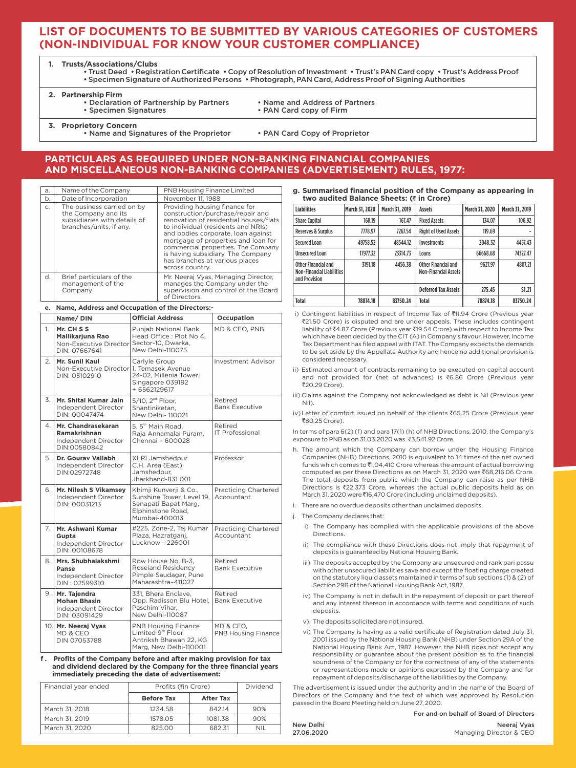# **LIST OF DOCUMENTS TO BE SUBMITTED BY VARIOUS CATEGORIES OF CUSTOMERS (NON-INDIVIDUAL FOR KNOW YOUR CUSTOMER COMPLIANCE)**

**1. Trusts/Associations/Clubs**

• Trust Deed • Registration Certificate • Copy of Resolution of Investment • Trust's PAN Card copy • Trust's Address Proof • Specimen Signature of Authorized Persons • Photograph, PAN Card, Address Proof of Signing Authorities

**2. Partnership Firm**

- Declaration of Partnership by Partners Name and Address of Partners<br>• Specimen Signatures • PAN Card copy of Firm
	- PAN Card copy of Firm

**3. Proprietory Concern**

- Name and Signatures of the Proprietor PAN Card Copy of Proprietor
	-

# **PARTICULARS AS REQUIRED UNDER NON-BANKING FINANCIAL COMPANIES AND MISCELLANEOUS NON-BANKING COMPANIES (ADVERTISEMENT) RULES, 1977:**

| a.           | Name of the Company                                                                                          | PNB Housing Finance Limited                                                                                                                                                                                                                                                                                                                                    |
|--------------|--------------------------------------------------------------------------------------------------------------|----------------------------------------------------------------------------------------------------------------------------------------------------------------------------------------------------------------------------------------------------------------------------------------------------------------------------------------------------------------|
| b.           | Date of Incorporation                                                                                        | November 11, 1988                                                                                                                                                                                                                                                                                                                                              |
| $C_{1}$      | The business carried on by<br>the Company and its<br>subsidiaries with details of<br>branches/units, if any. | Providing housing finance for<br>construction/purchase/repair and<br>renovation of residential houses/flats<br>to individual (residents and NRIs)<br>and bodies corporate, loan against<br>mortgage of properties and loan for<br>commercial properties. The Company<br>is having subsidiary. The Company<br>has branches at various places<br>across country. |
| $\mathsf{d}$ | Brief particulars of the<br>management of the<br>Company                                                     | Mr. Neeraj Vyas, Managing Director,<br>manages the Company under the<br>supervision and control of the Board<br>of Directors.                                                                                                                                                                                                                                  |

#### **e. Name, Address and Occupation of the Directors:-**

|    | Name/DIN                                                                     | <b>Official Address</b>                                                                                           | Occupation                                |
|----|------------------------------------------------------------------------------|-------------------------------------------------------------------------------------------------------------------|-------------------------------------------|
| 1. | Mr. CHSS<br>Mallikarjuna Rao<br>Non-Executive Director<br>DIN: 07667641      | <b>Puniab National Bank</b><br>Head Office: Plot No 4,<br>Sector-10, Dwarka,<br>New Delhi-110075                  | MD & CEO, PNB                             |
| 2. | Mr. Sunil Kaul<br>Non-Executive Director 1, Temasek Avenue<br>DIN: 05102910  | Carlyle Group<br>24-02, Millenia Tower,<br>Singapore 039192<br>+ 6562129617                                       | <b>Investment Advisor</b>                 |
| 3. | Mr. Shital Kumar Jain<br>Independent Director<br>DIN: 00047474               | 5/10, 2 <sup>nd</sup> Floor,<br>Shantiniketan.<br>New Delhi-110021                                                | Retired<br><b>Bank Executive</b>          |
| 4. | Mr. Chandrasekaran<br>Ramakrishnan<br>Independent Director<br>DIN:00580842   | 5.5 <sup>th</sup> Main Road.<br>Raja Annamalai Puram,<br>Chennai - 600028                                         | Retired<br><b>IT Professional</b>         |
| 5. | Dr. Gourav Vallabh<br>Independent Director<br>DIN:02972748                   | XLRI Jamshedpur<br>C.H. Area (East)<br>Jamshedpur.<br>Jharkhand-831 001                                           | Professor                                 |
| 6. | Mr. Nilesh S Vikamsey<br>Independent Director<br>DIN: 00031213               | Khimji Kunverji & Co.,<br>Sunshine Tower, Level 19.<br>Senapati Bapat Marg,<br>Elphinstone Road,<br>Mumbai-400013 | <b>Practicing Chartered</b><br>Accountant |
| 7. | Mr. Ashwani Kumar<br>Gupta<br>Independent Director<br>DIN: 00108678          | #225, Zone-2, Tej Kumar<br>Plaza, Hazratganj,<br>Lucknow - 226001                                                 | <b>Practicing Chartered</b><br>Accountant |
| 8. | Mrs. Shubhalakshmi<br>Panse<br>Independent Director<br>DIN: 02599310         | Row House No. B-3.<br>Roseland Residency<br>Pimple Saudagar, Pune<br>Maharashtra-411027                           | Retired<br><b>Bank Executive</b>          |
| 9. | Mr. Tajendra<br><b>Mohan Bhasin</b><br>Independent Director<br>DIN: 03091429 | 331, Bhera Enclave,<br>Opp. Radisson Blu Hotel,<br>Paschim Vihar.<br>New Delhi-110087                             | Retired<br><b>Bank Executive</b>          |
|    | 10. Mr. Neeraj Vyas<br>MD & CEO<br><b>DIN 07053788</b>                       | <b>PNB Housing Finance</b><br>Limited 9 <sup>th</sup> Floor<br>Antriksh Bhawan 22, KG<br>Marg, New Delhi-110001   | MD & CEO.<br><b>PNB Housing Finance</b>   |

**f . Profits of the Company before and after making provision for tax and dividend declared by the Company for the three financial years immediately preceding the date of advertisement:**

| Financial year ended | Profits (₹in Crore) | Dividend  |     |
|----------------------|---------------------|-----------|-----|
|                      | <b>Before Tax</b>   | After Tax |     |
| March 31, 2018       | 1234.58             | 842.14    | 90% |
| March 31, 2019       | 1578.05             | 1081.38   | 90% |
| March 31, 2020       | 825.00              | 682.31    | nil |

| g. Summarised financial position of the Company as appearing in |  |
|-----------------------------------------------------------------|--|
| two audited Balance Sheets: (₹ in Crore)                        |  |

| <b>Liabilities</b>                                                       | <b>March 31, 2020</b> | March 31, 2019 | <b>Assets</b>                                             | March 31, 2020 | March 31, 2019 |  |  |
|--------------------------------------------------------------------------|-----------------------|----------------|-----------------------------------------------------------|----------------|----------------|--|--|
| <b>Share Capital</b>                                                     | 168.19                | 167.47         | <b>Fixed Assets</b>                                       | 134.07         | 106.92         |  |  |
| <b>Reserves &amp; Surplus</b>                                            | 7778.97               | 7267.54        | 119.69                                                    |                |                |  |  |
| Secured Loan                                                             | 49758.52              | 48544.12       | <b>Investments</b>                                        | 2048.32        | 4457.43        |  |  |
| <b>Unsecured Loan</b>                                                    | 17977.32              | 23314.73       | Loans                                                     | 66668.68       | 74327.47       |  |  |
| Other Financial and<br><b>Non-Financial Liabilities</b><br>and Provision | 3191.18               | 4456.38        | <b>Other Financial and</b><br><b>Non-Financial Assets</b> | 9627.97        | 4807.21        |  |  |
|                                                                          |                       |                | <b>Deferred Tax Assets</b>                                | 275.45         | 51.21          |  |  |
| Total                                                                    | 78874.18              | 83750.24       | Total                                                     | 78874.18       | 83750.24       |  |  |

- i) Contingent liabilities in respect of Income Tax of ₹11.94 Crore (Previous year `21.50 Crore) is disputed and are under appeals. These includes contingent liability of `4.87 Crore (Previous year `19.54 Crore) with respect to Income Tax which have been decided by the CIT (A) in Company's favour. However, Income Tax Department has filed appeal with ITAT. The Company expects the demands to be set aside by the Appellate Authority and hence no additional provision is considered necessary.
- ii) Estimated amount of contracts remaining to be executed on capital account and not provided for (net of advances) is  $\bar{c}$ 6.86 Crore (Previous year ₹20.29 Crore).
- iii) Claims against the Company not acknowledged as debt is Nil (Previous year Nil).
- iv) Letter of comfort issued on behalf of the clients ₹65.25 Crore (Previous year `80.25 Crore).

In terms of para 6(2) (f) and para 17(1) (h) of NHB Directions, 2010, the Company's exposure to PNB as on 31.03.2020 was ₹3.541.92 Crore.

- h. The amount which the Company can borrow under the Housing Finance Companies (NHB) Directions, 2010 is equivalent to 14 times of the net owned funds which comes to ₹1,04,410 Crore whereas the amount of actual borrowing computed as per these Directions as on March 31, 2020 was  $\bar{\epsilon}$ 68,216.06 Crore. The total deposits from public which the Company can raise as per NHB Directions is  $\overline{2}2,373$  Crore, whereas the actual public deposits held as on March 31, 2020 were ₹16,470 Crore (including unclaimed deposits).
- There are no overdue deposits other than unclaimed deposits.
- The Company declares that
	- i) The Company has complied with the applicable provisions of the above **Directions**
	- ii) The compliance with these Directions does not imply that repayment of deposits is guaranteed by National Housing Bank.
	- iii) The deposits accepted by the Company are unsecured and rank pari passu with other unsecured liabilities save and except the floating charge created on the statutory liquid assets maintained in terms of sub sections (1) & (2) of Section 29B of the National Housing Bank Act, 1987.
	- iv) The Company is not in default in the repayment of deposit or part thereof and any interest thereon in accordance with terms and conditions of such deposits.
	- v) The deposits solicited are not insured.
	- vi) The Company is having as a valid certificate of Registration dated July 31, 2001 issued by the National Housing Bank (NHB) under Section 29A of the National Housing Bank Act, 1987. However, the NHB does not accept any responsibility or guarantee about the present position as to the financial soundness of the Company or for the correctness of any of the statements or representations made or opinions expressed by the Company and for repayment of deposits/discharge of the liabilities by the Company.

The advertisement is issued under the authority and in the name of the Board of Directors of the Company and the text of which was approved by Resolution passed in the Board Meeting held on June 27, 2020.

For and on behalf of Board of Directors

New Delhi 27.06.2020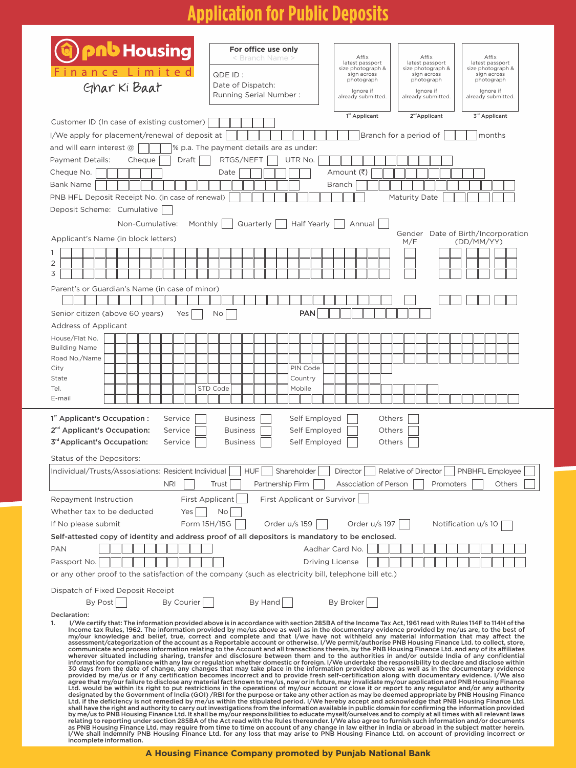# **Application for Public Deposits**

| <b>pnb</b> Housing                                                                                                                                                                                                                                                                                                                                                                                                                                               | For office use only<br>< Branch Name >   | Affix<br>latest passport                  | Affix<br>latest passport         | Affix<br>latest passport           |  |  |  |  |
|------------------------------------------------------------------------------------------------------------------------------------------------------------------------------------------------------------------------------------------------------------------------------------------------------------------------------------------------------------------------------------------------------------------------------------------------------------------|------------------------------------------|-------------------------------------------|----------------------------------|------------------------------------|--|--|--|--|
| imited<br>ance                                                                                                                                                                                                                                                                                                                                                                                                                                                   | QDE ID:                                  | size photograph &<br>sign across          | size photograph &<br>sign across | size photograph &<br>sign across   |  |  |  |  |
| Ghar Ki Baat                                                                                                                                                                                                                                                                                                                                                                                                                                                     | Date of Dispatch:                        | photograph<br>Ignore if                   | photograph<br>lanore if          | photograph<br>Ignore if            |  |  |  |  |
|                                                                                                                                                                                                                                                                                                                                                                                                                                                                  | Running Serial Number:                   | already submitted.                        | already submitted.               | already submitted.                 |  |  |  |  |
| Customer ID (In case of existing customer)                                                                                                                                                                                                                                                                                                                                                                                                                       |                                          | 1 <sup>st</sup> Applicant                 | 2 <sup>nd</sup> Applicant        | 3rd Applicant                      |  |  |  |  |
| I/We apply for placement/renewal of deposit at                                                                                                                                                                                                                                                                                                                                                                                                                   |                                          |                                           | Branch for a period of           | months                             |  |  |  |  |
| and will earn interest $\circledR$                                                                                                                                                                                                                                                                                                                                                                                                                               | % p.a. The payment details are as under: |                                           |                                  |                                    |  |  |  |  |
| Payment Details:<br>Cheque<br>Draft                                                                                                                                                                                                                                                                                                                                                                                                                              | RTGS/NEFT<br>UTR No.                     |                                           |                                  |                                    |  |  |  |  |
| Cheque No.                                                                                                                                                                                                                                                                                                                                                                                                                                                       | Date                                     | Amount (₹)                                |                                  |                                    |  |  |  |  |
| <b>Bank Name</b>                                                                                                                                                                                                                                                                                                                                                                                                                                                 |                                          | <b>Branch</b>                             |                                  |                                    |  |  |  |  |
| PNB HFL Deposit Receipt No. (in case of renewal)                                                                                                                                                                                                                                                                                                                                                                                                                 |                                          |                                           | <b>Maturity Date</b>             |                                    |  |  |  |  |
| Deposit Scheme: Cumulative                                                                                                                                                                                                                                                                                                                                                                                                                                       |                                          |                                           |                                  |                                    |  |  |  |  |
| Monthly<br>Non-Cumulative:                                                                                                                                                                                                                                                                                                                                                                                                                                       | Quarterly<br>Half Yearly                 | Annual                                    |                                  | Gender Date of Birth/Incorporation |  |  |  |  |
| Applicant's Name (in block letters)                                                                                                                                                                                                                                                                                                                                                                                                                              |                                          |                                           | M/F                              | (DD/MM/YY)                         |  |  |  |  |
| 1                                                                                                                                                                                                                                                                                                                                                                                                                                                                |                                          |                                           |                                  |                                    |  |  |  |  |
| 2<br>3                                                                                                                                                                                                                                                                                                                                                                                                                                                           |                                          |                                           |                                  |                                    |  |  |  |  |
| Parent's or Guardian's Name (in case of minor)                                                                                                                                                                                                                                                                                                                                                                                                                   |                                          |                                           |                                  |                                    |  |  |  |  |
| Senior citizen (above 60 years)<br>Yes                                                                                                                                                                                                                                                                                                                                                                                                                           | PAN<br>No                                |                                           |                                  |                                    |  |  |  |  |
| Address of Applicant                                                                                                                                                                                                                                                                                                                                                                                                                                             |                                          |                                           |                                  |                                    |  |  |  |  |
| House/Flat No.                                                                                                                                                                                                                                                                                                                                                                                                                                                   |                                          |                                           |                                  |                                    |  |  |  |  |
| <b>Building Name</b><br>Road No./Name                                                                                                                                                                                                                                                                                                                                                                                                                            |                                          |                                           |                                  |                                    |  |  |  |  |
| City                                                                                                                                                                                                                                                                                                                                                                                                                                                             | PIN Code                                 |                                           |                                  |                                    |  |  |  |  |
| State                                                                                                                                                                                                                                                                                                                                                                                                                                                            | Country                                  |                                           |                                  |                                    |  |  |  |  |
| Tel.<br>E-mail                                                                                                                                                                                                                                                                                                                                                                                                                                                   | Mobile<br>STD Code                       |                                           |                                  |                                    |  |  |  |  |
| 1 <sup>st</sup> Applicant's Occupation :<br>Service                                                                                                                                                                                                                                                                                                                                                                                                              | <b>Business</b><br>Self Employed         | Others                                    |                                  |                                    |  |  |  |  |
| 2 <sup>nd</sup> Applicant's Occupation:<br>Service                                                                                                                                                                                                                                                                                                                                                                                                               | <b>Business</b><br>Self Employed         | Others                                    |                                  |                                    |  |  |  |  |
| 3 <sup>rd</sup> Applicant's Occupation:<br>Service                                                                                                                                                                                                                                                                                                                                                                                                               | <b>Business</b><br>Self Employed         | Others                                    |                                  |                                    |  |  |  |  |
| Status of the Depositors:                                                                                                                                                                                                                                                                                                                                                                                                                                        |                                          |                                           |                                  |                                    |  |  |  |  |
| Individual/Trusts/Assosiations: Resident Individual                                                                                                                                                                                                                                                                                                                                                                                                              | HUF.<br>Shareholder                      | Director                                  | Relative of Director             | PNBHFL Fmployee                    |  |  |  |  |
| <b>NRI</b>                                                                                                                                                                                                                                                                                                                                                                                                                                                       | Trust<br>Partnership Firm                | Association of Person                     | Promoters                        | Others                             |  |  |  |  |
| <b>First Applicant</b><br>Repayment Instruction                                                                                                                                                                                                                                                                                                                                                                                                                  | First Applicant or Survivor              |                                           |                                  |                                    |  |  |  |  |
| Whether tax to be deducted<br>Yes                                                                                                                                                                                                                                                                                                                                                                                                                                | Νo                                       |                                           |                                  |                                    |  |  |  |  |
| Form 15H/15G<br>If No please submit                                                                                                                                                                                                                                                                                                                                                                                                                              | Order u/s 159                            | Order u/s 197                             |                                  | Notification u/s 10                |  |  |  |  |
| Self-attested copy of identity and address proof of all depositors is mandatory to be enclosed.                                                                                                                                                                                                                                                                                                                                                                  |                                          |                                           |                                  |                                    |  |  |  |  |
| <b>PAN</b><br>Passport No.                                                                                                                                                                                                                                                                                                                                                                                                                                       |                                          | Aadhar Card No.<br><b>Driving License</b> |                                  |                                    |  |  |  |  |
| or any other proof to the satisfaction of the company (such as electricity bill, telephone bill etc.)                                                                                                                                                                                                                                                                                                                                                            |                                          |                                           |                                  |                                    |  |  |  |  |
|                                                                                                                                                                                                                                                                                                                                                                                                                                                                  |                                          |                                           |                                  |                                    |  |  |  |  |
| Dispatch of Fixed Deposit Receipt<br>By Post<br>By Courier                                                                                                                                                                                                                                                                                                                                                                                                       | By Hand                                  | By Broker                                 |                                  |                                    |  |  |  |  |
| Declaration:                                                                                                                                                                                                                                                                                                                                                                                                                                                     |                                          |                                           |                                  |                                    |  |  |  |  |
| 1.<br>I/We certify that: The information provided above is in accordance with section 285BA of the Income Tax Act, 1961 read with Rules 114F to 114H of the<br>Income tax Rules, 1962. The information provided by me/us above as well as in the documentary evidence provided by me/us are, to the best of                                                                                                                                                      |                                          |                                           |                                  |                                    |  |  |  |  |
| my/our knowledge and belief, true, correct and complete and that I/we have not withheld any material information that may affect the<br>assessment/categorization of the account as a Reportable account or otherwise. I/We permit/authorise PNB Housing Finance Ltd. to collect, store,                                                                                                                                                                         |                                          |                                           |                                  |                                    |  |  |  |  |
| communicate and process information relating to the Account and all transactions therein, by the PNB Housing Finance Ltd. and any of its affiliates<br>wherever situated including sharing, transfer and disclosure between them and to the authorities in and/or outside India of any confidential                                                                                                                                                              |                                          |                                           |                                  |                                    |  |  |  |  |
| information for compliance with any law or regulation whether domestic or foreign. I/We undertake the responsibility to declare and disclose within<br>30 days from the date of change, any changes that may take place in the information provided above as well as in the documentary evidence                                                                                                                                                                 |                                          |                                           |                                  |                                    |  |  |  |  |
| provided by me/us or if any certification becomes incorrect and to provide fresh self-certification along with documentary evidence. I/We also<br>agree that my/our failure to disclose any material fact known to me/us, now or in future, may invalidate my/our application and PNB Housing Finance                                                                                                                                                            |                                          |                                           |                                  |                                    |  |  |  |  |
| Ltd. would be within its right to put restrictions in the operations of my/our account or close it or report to any regulator and/or any authority<br>designated by the Government of India (GOI) /RBI for the purpose or take any other action as may be deemed appropriate by PNB Housing Finance                                                                                                                                                              |                                          |                                           |                                  |                                    |  |  |  |  |
| Ltd. if the deficiency is not remedied by me/us within the stipulated period. I/We hereby accept and acknowledge that PNB Housing Finance Ltd.<br>shall have the right and authority to carry out investigations from the information available in public domain for confirming the information provided                                                                                                                                                         |                                          |                                           |                                  |                                    |  |  |  |  |
| by me/us to PNB Housing Finance Ltd. It shall be my/our responsibilities to educate myself/ourselves and to comply at all times with all relevant laws<br>relating to reporting under section 285BA of the Act read with the Rules thereunder. I/We also agree to furnish such information and/or documents<br>as PNB Housing Finance Ltd. may require from time to time on account of any change in law either in India or abroad in the subject matter herein. |                                          |                                           |                                  |                                    |  |  |  |  |
| I/We shall indemnify PNB Housing Finance Ltd. for any loss that may arise to PNB Housing Finance Ltd. on account of providing incorrect or<br>incomplete information.                                                                                                                                                                                                                                                                                            |                                          |                                           |                                  |                                    |  |  |  |  |